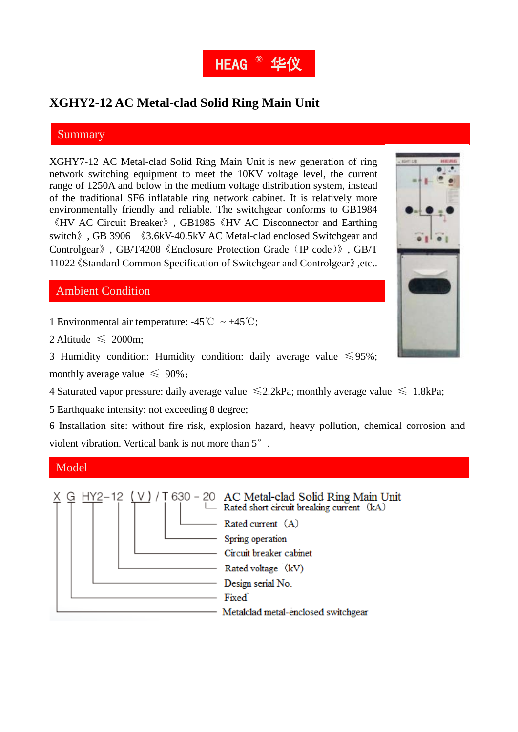

# **XGHY2-12 AC Metal-clad Solid Ring Main Unit**

#### Summary

XGHY7-12 AC Metal-clad Solid Ring Main Unit is new generation of ring network switching equipment to meet the 10KV voltage level, the current range of 1250A and below in the medium voltage distribution system, instead of the traditional SF6 inflatable ring network cabinet. It is relatively more environmentally friendly and reliable. The switchgear conforms to GB1984 《HV AC Circuit Breaker》, GB1985《HV AC Disconnector and Earthing switch》, GB 3906 《3.6kV-40.5kV AC Metal-clad enclosed Switchgear and Controlgear》, GB/T4208《Enclosure Protection Grade(IP code)》, GB/T 11022《Standard Common Specification of Switchgear and Controlgear》,etc..

## Ambient Condition

1 Environmental air temperature:  $-45^{\circ}\text{C} \sim +45^{\circ}\text{C}$ ;

2 Altitude  $\leq 2000$ m;

3 Humidity condition: Humidity condition: daily average value  $\leq 95\%$ ; monthly average value  $\leq 90\%$ ;

4 Saturated vapor pressure: daily average value  $\leq 2.2$ kPa; monthly average value  $\leq 1.8$ kPa;

5 Earthquake intensity: not exceeding 8 degree;

6 Installation site: without fire risk, explosion hazard, heavy pollution, chemical corrosion and violent vibration. Vertical bank is not more than 5°.

### Model

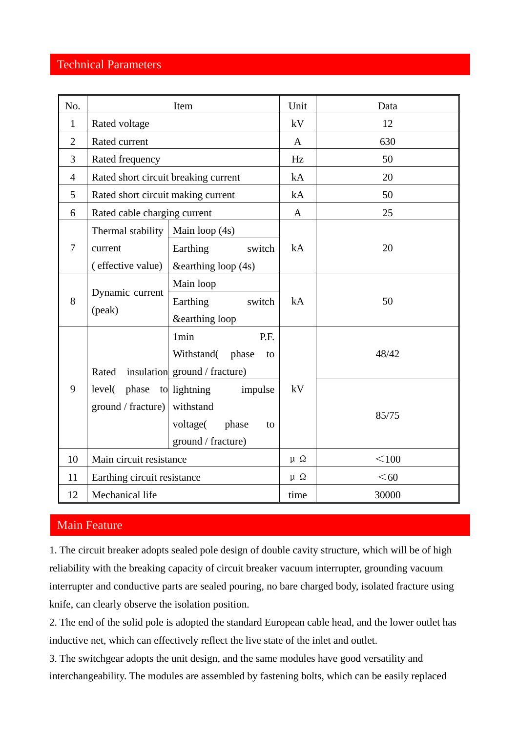## Technical Parameters

| No.            | Item                                              |                                                                                    | Unit         | Data  |
|----------------|---------------------------------------------------|------------------------------------------------------------------------------------|--------------|-------|
| $\mathbf{1}$   | Rated voltage                                     |                                                                                    | kV           | 12    |
| $\overline{2}$ | Rated current                                     |                                                                                    | $\mathbf{A}$ | 630   |
| 3              | Rated frequency                                   |                                                                                    | Hz           | 50    |
| $\overline{4}$ | Rated short circuit breaking current              |                                                                                    | kA           | 20    |
| 5              | Rated short circuit making current                |                                                                                    | kA           | 50    |
| 6              | Rated cable charging current                      |                                                                                    | $\mathbf{A}$ | 25    |
| $\overline{7}$ | Thermal stability<br>current<br>(effective value) | Main loop (4s)<br>Earthing<br>switch<br>&earthing loop (4s)                        | kA           | 20    |
| 8              | Dynamic current<br>(peak)                         | Main loop<br>Earthing<br>switch<br>&earthing loop                                  | kA           | 50    |
| 9              | Rated                                             | 1 <sub>min</sub><br>P.F.<br>Withstand(phase<br>to<br>insulation ground / fracture) | kV           | 48/42 |
|                | level( phase to lightning<br>ground / fracture)   | impulse<br>withstand<br>voltage(<br>phase<br>to<br>ground / fracture)              |              | 85/75 |
| 10             | Main circuit resistance                           |                                                                                    | $\mu \Omega$ | < 100 |
| 11             | Earthing circuit resistance                       |                                                                                    | $\mu \Omega$ | $60$  |
| 12             | Mechanical life                                   |                                                                                    | time         | 30000 |

## Main Feature

1. The circuit breaker adopts sealed pole design of double cavity structure, which will be of high reliability with the breaking capacity of circuit breaker vacuum interrupter, grounding vacuum interrupter and conductive parts are sealed pouring, no bare charged body, isolated fracture using knife, can clearly observe the isolation position.

2. The end of the solid pole is adopted the standard European cable head, and the lower outlet has inductive net, which can effectively reflect the live state of the inlet and outlet.

3. The switchgear adopts the unit design, and the same modules have good versatility and interchangeability. The modules are assembled by fastening bolts, which can be easily replaced